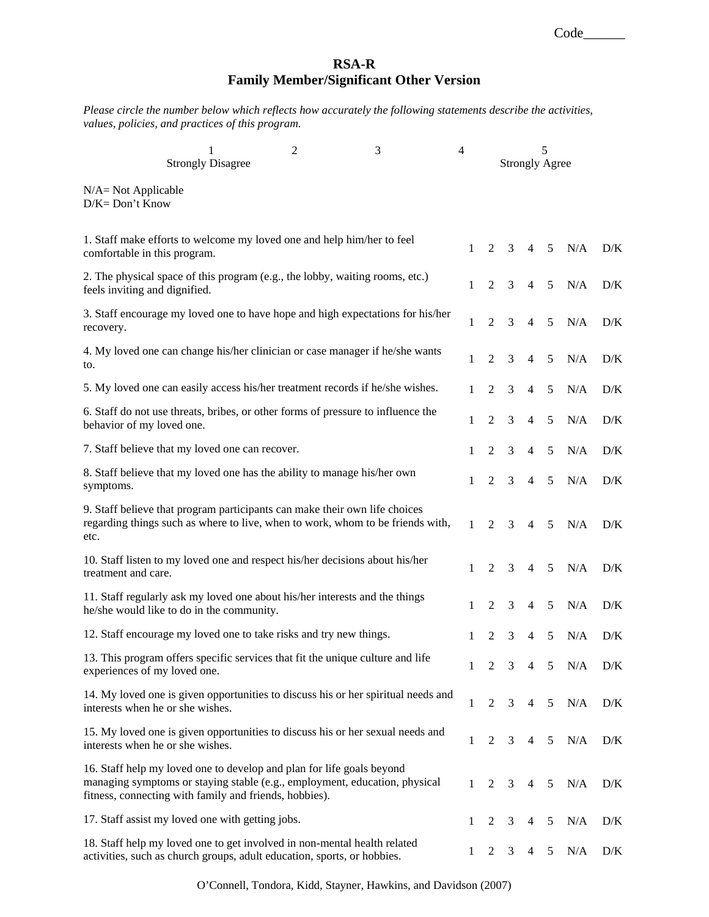Code\_\_\_\_\_\_

## **RSA-R Family Member/Significant Other Version**

*Please circle the number below which reflects how accurately the following statements describe the activities, values, policies, and practices of this program.* 

| 1<br><b>Strongly Disagree</b>                                                                                                                                                                                 | 2 | 3 | $\overline{4}$ | 5<br><b>Strongly Agree</b> |   |                |                |     |            |
|---------------------------------------------------------------------------------------------------------------------------------------------------------------------------------------------------------------|---|---|----------------|----------------------------|---|----------------|----------------|-----|------------|
| $N/A = Not Applicable$<br>$D/K = Don't Know$                                                                                                                                                                  |   |   |                |                            |   |                |                |     |            |
| 1. Staff make efforts to welcome my loved one and help him/her to feel<br>comfortable in this program.                                                                                                        |   |   | $\mathbf{1}$   | $\overline{2}$             | 3 | $\overline{4}$ | 5 <sup>5</sup> | N/A | D/K        |
| 2. The physical space of this program (e.g., the lobby, waiting rooms, etc.)<br>feels inviting and dignified.                                                                                                 |   |   | 1              | 2                          | 3 | 4              | 5              | N/A | D/K        |
| 3. Staff encourage my loved one to have hope and high expectations for his/her<br>recovery.                                                                                                                   |   |   | 1              | $\overline{2}$             | 3 | 4              | 5              | N/A | $\rm{D/K}$ |
| 4. My loved one can change his/her clinician or case manager if he/she wants<br>to.                                                                                                                           |   |   | 1              | $\overline{2}$             | 3 | $\overline{4}$ | 5              | N/A | D/K        |
| 5. My loved one can easily access his/her treatment records if he/she wishes.                                                                                                                                 |   |   | 1              | 2                          | 3 | 4              | 5              | N/A | D/K        |
| 6. Staff do not use threats, bribes, or other forms of pressure to influence the<br>behavior of my loved one.                                                                                                 |   |   | 1              | $\overline{2}$             | 3 | $\overline{4}$ | 5              | N/A | D/K        |
| 7. Staff believe that my loved one can recover.                                                                                                                                                               |   |   | 1              | $\mathfrak{2}$             | 3 | $\overline{4}$ | 5              | N/A | D/K        |
| 8. Staff believe that my loved one has the ability to manage his/her own<br>symptoms.                                                                                                                         |   |   | 1              | $\overline{2}$             | 3 | $\overline{4}$ | 5              | N/A | D/K        |
| 9. Staff believe that program participants can make their own life choices<br>regarding things such as where to live, when to work, whom to be friends with,<br>etc.                                          |   |   | 1              | 2                          | 3 | 4              | 5              | N/A | D/K        |
| 10. Staff listen to my loved one and respect his/her decisions about his/her<br>treatment and care.                                                                                                           |   |   | 1              | $\overline{2}$             | 3 | $\overline{4}$ | 5              | N/A | D/K        |
| 11. Staff regularly ask my loved one about his/her interests and the things<br>he/she would like to do in the community.                                                                                      |   |   | 1              | 2                          | 3 | 4              | 5              | N/A | D/K        |
| 12. Staff encourage my loved one to take risks and try new things.                                                                                                                                            |   |   | 1              | $\overline{2}$             | 3 | 4              | 5              | N/A | D/K        |
| 13. This program offers specific services that fit the unique culture and life<br>experiences of my loved one.                                                                                                |   |   | 1              | $\overline{2}$             | 3 | $\overline{4}$ | 5              | N/A | D/K        |
| 14. My loved one is given opportunities to discuss his or her spiritual needs and<br>interests when he or she wishes.                                                                                         |   |   | $\mathbf{1}$   | $\overline{2}$             | 3 | 4              | $\sqrt{5}$     | N/A | D/K        |
| 15. My loved one is given opportunities to discuss his or her sexual needs and<br>interests when he or she wishes.                                                                                            |   |   | $\mathbf{1}$   | $\overline{2}$             | 3 | 4              | 5              | N/A | D/K        |
| 16. Staff help my loved one to develop and plan for life goals beyond<br>managing symptoms or staying stable (e.g., employment, education, physical<br>fitness, connecting with family and friends, hobbies). |   |   | $\mathbf{1}$   | 2                          | 3 | 4              | 5              | N/A | D/K        |
| 17. Staff assist my loved one with getting jobs.                                                                                                                                                              |   |   | 1              | 2                          | 3 | 4              | 5              | N/A | D/K        |
| 18. Staff help my loved one to get involved in non-mental health related<br>activities, such as church groups, adult education, sports, or hobbies.                                                           |   |   | $\mathbf{1}$   | 2                          | 3 | 4              | 5              | N/A | D/K        |

O'Connell, Tondora, Kidd, Stayner, Hawkins, and Davidson (2007)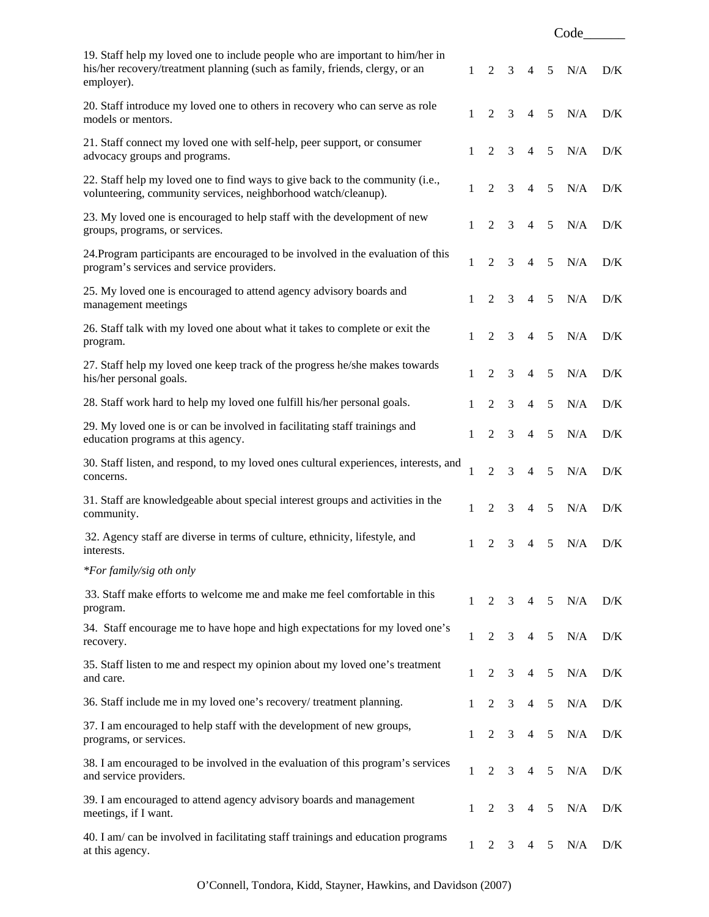|                                                                                                                                                                            |              |                |                |                | Code           |               |     |
|----------------------------------------------------------------------------------------------------------------------------------------------------------------------------|--------------|----------------|----------------|----------------|----------------|---------------|-----|
| 19. Staff help my loved one to include people who are important to him/her in<br>his/her recovery/treatment planning (such as family, friends, clergy, or an<br>employer). | 1            | 2              | 3 <sup>7</sup> | $\overline{4}$ | 5              | N/A           | D/K |
| 20. Staff introduce my loved one to others in recovery who can serve as role<br>models or mentors.                                                                         | $\mathbf{1}$ | $\overline{2}$ | 3              | $\overline{4}$ | 5              | N/A           | D/K |
| 21. Staff connect my loved one with self-help, peer support, or consumer<br>advocacy groups and programs.                                                                  | 1            | $\overline{2}$ | 3              | $\overline{4}$ | 5              | N/A           | D/K |
| 22. Staff help my loved one to find ways to give back to the community (i.e.,<br>volunteering, community services, neighborhood watch/cleanup).                            | 1            | $\overline{2}$ | 3              | $\overline{4}$ | 5              | N/A           | D/K |
| 23. My loved one is encouraged to help staff with the development of new<br>groups, programs, or services.                                                                 | $\mathbf{1}$ | 2              | 3              | $\overline{4}$ | 5              | N/A           | D/K |
| 24. Program participants are encouraged to be involved in the evaluation of this<br>program's services and service providers.                                              | 1            | 2              | 3              | $\overline{4}$ | 5              | N/A           | D/K |
| 25. My loved one is encouraged to attend agency advisory boards and<br>management meetings                                                                                 | 1            | 2              | 3              | $\overline{4}$ | 5              | N/A           | D/K |
| 26. Staff talk with my loved one about what it takes to complete or exit the<br>program.                                                                                   | $\mathbf{1}$ | 2              | 3              | $\overline{4}$ | 5              | N/A           | D/K |
| 27. Staff help my loved one keep track of the progress he/she makes towards<br>his/her personal goals.                                                                     | 1            | 2              | 3              | $\overline{4}$ | 5              | N/A           | D/K |
| 28. Staff work hard to help my loved one fulfill his/her personal goals.                                                                                                   | 1            | 2              | 3              | $\overline{4}$ | 5              | N/A           | D/K |
| 29. My loved one is or can be involved in facilitating staff trainings and<br>education programs at this agency.                                                           | 1            | $\overline{2}$ | 3              | $\overline{4}$ | 5              | N/A           | D/K |
| 30. Staff listen, and respond, to my loved ones cultural experiences, interests, and<br>concerns.                                                                          | 1            | $\overline{2}$ | 3              | $\overline{4}$ | 5              | N/A           | D/K |
| 31. Staff are knowledgeable about special interest groups and activities in the<br>community.                                                                              | 1            | $\overline{2}$ | 3              | $\overline{4}$ | 5              | N/A           | D/K |
| 32. Agency staff are diverse in terms of culture, ethnicity, lifestyle, and<br>interests.                                                                                  |              | 2              |                |                |                | 3 4 5 N/A D/K |     |
| *For family/sig oth only                                                                                                                                                   |              |                |                |                |                |               |     |
| 33. Staff make efforts to welcome me and make me feel comfortable in this<br>program.                                                                                      | $\mathbf{1}$ | $\overline{2}$ | 3              | $\overline{4}$ | 5              | N/A           | D/K |
| 34. Staff encourage me to have hope and high expectations for my loved one's<br>recovery.                                                                                  | 1            | $\overline{2}$ | $\mathfrak{Z}$ | $\overline{4}$ | 5              | N/A           | D/K |
| 35. Staff listen to me and respect my opinion about my loved one's treatment<br>and care.                                                                                  | 1            | $\overline{2}$ | $\mathfrak{Z}$ | $\overline{4}$ | 5              | N/A           | D/K |
| 36. Staff include me in my loved one's recovery/ treatment planning.                                                                                                       | 1            | $\overline{2}$ | 3              | $\overline{4}$ | 5              | N/A           | D/K |
| 37. I am encouraged to help staff with the development of new groups,<br>programs, or services.                                                                            | 1            | $\overline{2}$ | 3              | $\overline{4}$ | $\mathfrak{S}$ | N/A           | D/K |
| 38. I am encouraged to be involved in the evaluation of this program's services<br>and service providers.                                                                  | 1            | $\overline{2}$ | 3              | $\overline{4}$ | 5              | N/A           | D/K |
| 39. I am encouraged to attend agency advisory boards and management<br>meetings, if I want.                                                                                | $\mathbf{1}$ | 2              | 3              | $\overline{4}$ | 5              | N/A           | D/K |
| 40. I am/can be involved in facilitating staff trainings and education programs<br>at this agency.                                                                         | 1            | 2              | 3              | 4              | 5              | N/A           | D/K |

O'Connell, Tondora, Kidd, Stayner, Hawkins, and Davidson (2007)